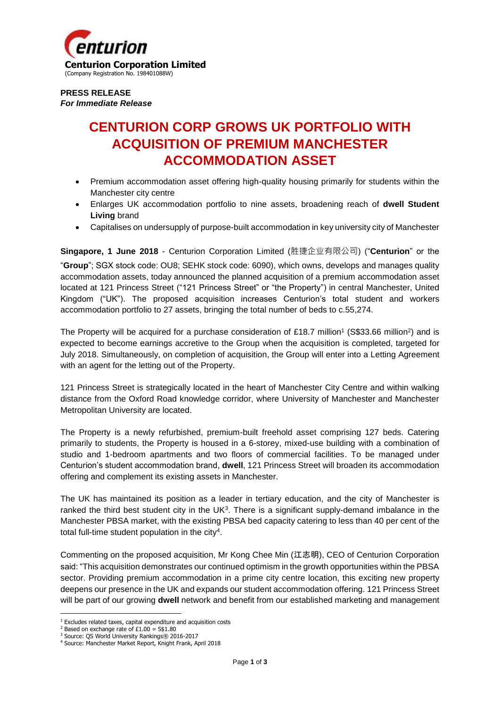

**PRESS RELEASE** *For Immediate Release*

## **CENTURION CORP GROWS UK PORTFOLIO WITH ACQUISITION OF PREMIUM MANCHESTER ACCOMMODATION ASSET**

- Premium accommodation asset offering high-quality housing primarily for students within the Manchester city centre
- Enlarges UK accommodation portfolio to nine assets, broadening reach of **dwell Student Living** brand
- Capitalises on undersupply of purpose-built accommodation in key university city of Manchester

**Singapore, 1 June 2018** - Centurion Corporation Limited (胜捷企业有限公司) ("**Centurion**" or the "**Group**"; SGX stock code: OU8; SEHK stock code: 6090), which owns, develops and manages quality accommodation assets, today announced the planned acquisition of a premium accommodation asset located at 121 Princess Street ("121 Princess Street" or "the Property") in central Manchester, United Kingdom ("UK"). The proposed acquisition increases Centurion's total student and workers accommodation portfolio to 27 assets, bringing the total number of beds to c.55,274.

The Property will be acquired for a purchase consideration of £18.7 million<sup>1</sup> (S\$33.66 million<sup>2</sup>) and is expected to become earnings accretive to the Group when the acquisition is completed, targeted for July 2018. Simultaneously, on completion of acquisition, the Group will enter into a Letting Agreement with an agent for the letting out of the Property.

121 Princess Street is strategically located in the heart of Manchester City Centre and within walking distance from the Oxford Road knowledge corridor, where University of Manchester and Manchester Metropolitan University are located.

The Property is a newly refurbished, premium-built freehold asset comprising 127 beds. Catering primarily to students, the Property is housed in a 6-storey, mixed-use building with a combination of studio and 1-bedroom apartments and two floors of commercial facilities. To be managed under Centurion's student accommodation brand, **dwell**, 121 Princess Street will broaden its accommodation offering and complement its existing assets in Manchester.

The UK has maintained its position as a leader in tertiary education, and the city of Manchester is ranked the third best student city in the  $UK<sup>3</sup>$ . There is a significant supply-demand imbalance in the Manchester PBSA market, with the existing PBSA bed capacity catering to less than 40 per cent of the total full-time student population in the city<sup>4</sup>.

Commenting on the proposed acquisition, Mr Kong Chee Min (江志明), CEO of Centurion Corporation said: "This acquisition demonstrates our continued optimism in the growth opportunities within the PBSA sector. Providing premium accommodation in a prime city centre location, this exciting new property deepens our presence in the UK and expands our student accommodation offering. 121 Princess Street will be part of our growing **dwell** network and benefit from our established marketing and management

**<sup>.</sup>**  $1$  Excludes related taxes, capital expenditure and acquisition costs

<sup>&</sup>lt;sup>2</sup> Based on exchange rate of  $£1.00 = $1.80$ 

<sup>&</sup>lt;sup>3</sup> Source: QS World University Rankings® 2016-2017

<sup>4</sup> Source: Manchester Market Report, Knight Frank, April 2018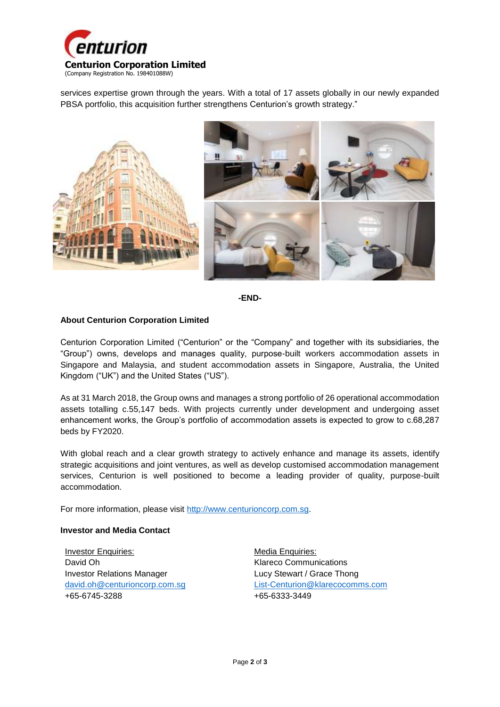

services expertise grown through the years. With a total of 17 assets globally in our newly expanded PBSA portfolio, this acquisition further strengthens Centurion's growth strategy."





## **About Centurion Corporation Limited**

Centurion Corporation Limited ("Centurion" or the "Company" and together with its subsidiaries, the "Group") owns, develops and manages quality, purpose-built workers accommodation assets in Singapore and Malaysia, and student accommodation assets in Singapore, Australia, the United Kingdom ("UK") and the United States ("US").

As at 31 March 2018, the Group owns and manages a strong portfolio of 26 operational accommodation assets totalling c.55,147 beds. With projects currently under development and undergoing asset enhancement works, the Group's portfolio of accommodation assets is expected to grow to c.68,287 beds by FY2020.

With global reach and a clear growth strategy to actively enhance and manage its assets, identify strategic acquisitions and joint ventures, as well as develop customised accommodation management services, Centurion is well positioned to become a leading provider of quality, purpose-built accommodation.

For more information, please visit [http://www.centurioncorp.com.sg.](http://www.centurioncorp.com.sg/)

## **Investor and Media Contact**

Investor Enquiries: David Oh Investor Relations Manager [david.oh@centurioncorp.com.sg](mailto:david.oh@centurioncorp.com.sg) +65-6745-3288

Media Enquiries: Klareco Communications Lucy Stewart / Grace Thong [List-Centurion@klarecocomms.com](mailto:List-Centurion@klarecocomms.com) +65-6333-3449